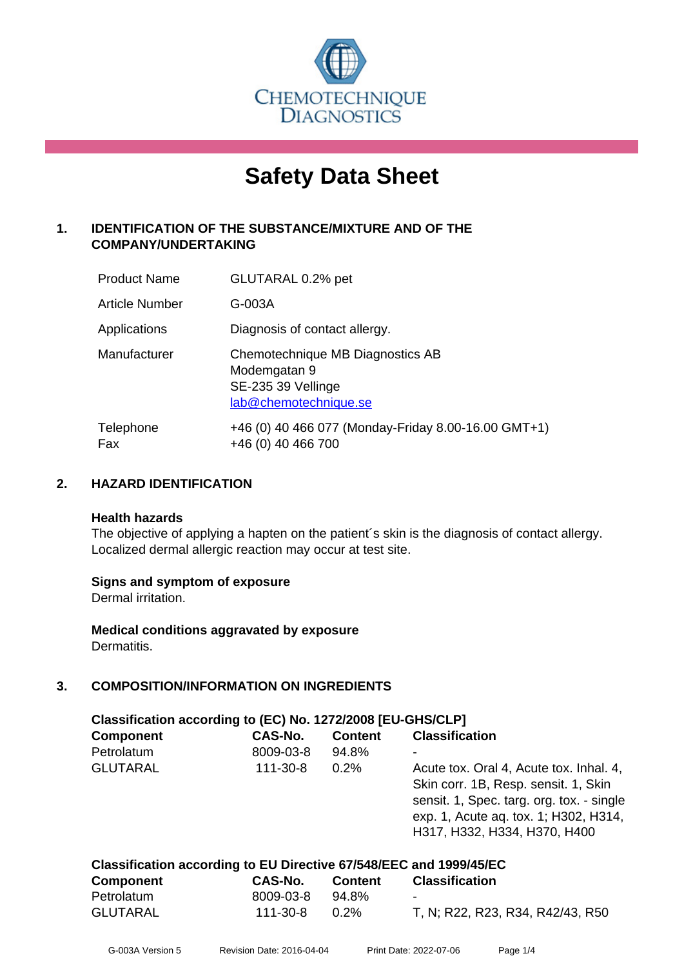

# **Safety Data Sheet**

# **1. IDENTIFICATION OF THE SUBSTANCE/MIXTURE AND OF THE COMPANY/UNDERTAKING**

| <b>Product Name</b> | GLUTARAL 0.2% pet                                                                               |
|---------------------|-------------------------------------------------------------------------------------------------|
| Article Number      | G-003A                                                                                          |
| Applications        | Diagnosis of contact allergy.                                                                   |
| Manufacturer        | Chemotechnique MB Diagnostics AB<br>Modemgatan 9<br>SE-235 39 Vellinge<br>lab@chemotechnique.se |
| Telephone<br>Fax    | +46 (0) 40 466 077 (Monday-Friday 8.00-16.00 GMT+1)<br>+46 (0) 40 466 700                       |

# **2. HAZARD IDENTIFICATION**

#### **Health hazards**

The objective of applying a hapten on the patient's skin is the diagnosis of contact allergy. Localized dermal allergic reaction may occur at test site.

# **Signs and symptom of exposure**

Dermal irritation.

**Medical conditions aggravated by exposure** Dermatitis.

# **3. COMPOSITION/INFORMATION ON INGREDIENTS**

| Classification according to (EC) No. 1272/2008 [EU-GHS/CLP] |           |                |                                                                                                                                                                                                       |  |
|-------------------------------------------------------------|-----------|----------------|-------------------------------------------------------------------------------------------------------------------------------------------------------------------------------------------------------|--|
| <b>Component</b>                                            | CAS-No.   | <b>Content</b> | <b>Classification</b>                                                                                                                                                                                 |  |
| Petrolatum                                                  | 8009-03-8 | 94.8%          |                                                                                                                                                                                                       |  |
| <b>GLUTARAL</b>                                             | 111-30-8  | 0.2%           | Acute tox. Oral 4, Acute tox. Inhal. 4,<br>Skin corr. 1B, Resp. sensit. 1, Skin<br>sensit. 1, Spec. targ. org. tox. - single<br>exp. 1, Acute aq. tox. 1; H302, H314,<br>H317, H332, H334, H370, H400 |  |

| Classification according to EU Directive 67/548/EEC and 1999/45/EC |           |         |                                  |  |
|--------------------------------------------------------------------|-----------|---------|----------------------------------|--|
| <b>Component</b>                                                   | CAS-No.   | Content | <b>Classification</b>            |  |
| Petrolatum                                                         | 8009-03-8 | 94.8%   | $\blacksquare$                   |  |
| <b>GLUTARAL</b>                                                    | 111-30-8  | $0.2\%$ | T, N; R22, R23, R34, R42/43, R50 |  |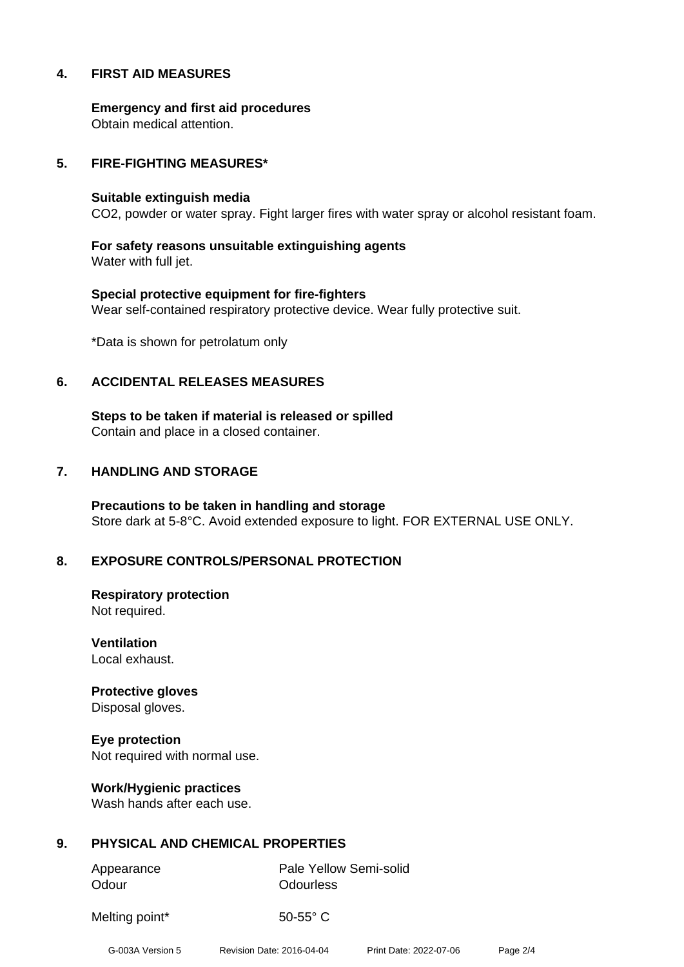# **4. FIRST AID MEASURES**

**Emergency and first aid procedures** Obtain medical attention.

#### **5. FIRE-FIGHTING MEASURES\***

#### **Suitable extinguish media**

CO2, powder or water spray. Fight larger fires with water spray or alcohol resistant foam.

**For safety reasons unsuitable extinguishing agents** Water with full jet.

**Special protective equipment for fire-fighters** Wear self-contained respiratory protective device. Wear fully protective suit.

\*Data is shown for petrolatum only

#### **6. ACCIDENTAL RELEASES MEASURES**

**Steps to be taken if material is released or spilled** Contain and place in a closed container.

#### **7. HANDLING AND STORAGE**

**Precautions to be taken in handling and storage** Store dark at 5-8°C. Avoid extended exposure to light. FOR EXTERNAL USE ONLY.

# **8. EXPOSURE CONTROLS/PERSONAL PROTECTION**

**Respiratory protection** Not required.

**Ventilation** Local exhaust.

**Protective gloves** Disposal gloves.

**Eye protection** Not required with normal use.

**Work/Hygienic practices** Wash hands after each use.

# **9. PHYSICAL AND CHEMICAL PROPERTIES**

Odour **Odourless** 

Appearance Pale Yellow Semi-solid

Melting point\* 50-55° C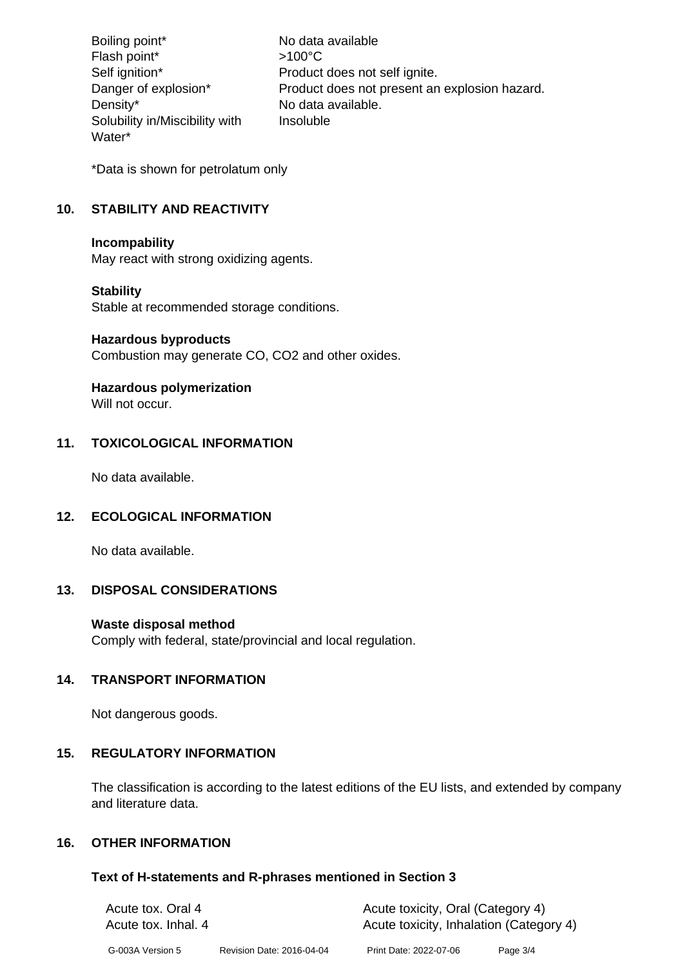Boiling point\* No data available Flash point\*  $>100^{\circ}$ C Self ignition\* Product does not self ignite. Danger of explosion\* Product does not present an explosion hazard. Density\* No data available. Solubility in/Miscibility with Water\* Insoluble

\*Data is shown for petrolatum only

# **10. STABILITY AND REACTIVITY**

#### **Incompability**

May react with strong oxidizing agents.

# **Stability**

Stable at recommended storage conditions.

#### **Hazardous byproducts**

Combustion may generate CO, CO2 and other oxides.

# **Hazardous polymerization**

Will not occur.

# **11. TOXICOLOGICAL INFORMATION**

No data available.

# **12. ECOLOGICAL INFORMATION**

No data available.

# **13. DISPOSAL CONSIDERATIONS**

# **Waste disposal method**

Comply with federal, state/provincial and local regulation.

# **14. TRANSPORT INFORMATION**

Not dangerous goods.

# **15. REGULATORY INFORMATION**

The classification is according to the latest editions of the EU lists, and extended by company and literature data.

# **16. OTHER INFORMATION**

# **Text of H-statements and R-phrases mentioned in Section 3**

| Acute tox. Oral 4   |                           | Acute toxicity, Oral (Category 4)       |          |  |
|---------------------|---------------------------|-----------------------------------------|----------|--|
| Acute tox. Inhal. 4 |                           | Acute toxicity, Inhalation (Category 4) |          |  |
| G-003A Version 5    | Revision Date: 2016-04-04 | Print Date: 2022-07-06                  | Page 3/4 |  |